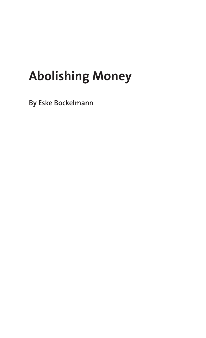# **Abolishing Money**

**By Eske Bockelmann**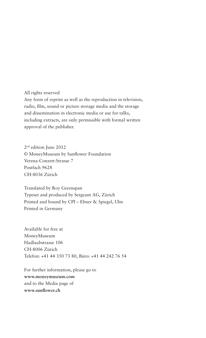All rights reserved Any form of reprint as well as the reproduction in television, radio, film, sound or picture storage media and the storage and dissemination in electronic media or use for talks, including extracts, are only permissible with formal written approval of the publisher.

2nd edition June 2012 © MoneyMuseum by Sunflower Foundation Verena-Conzett-Strasse 7 Postfach 9628 CH-8036 Zürich

Translated by Roy Greenspan Typeset and produced by Sergeant AG, Zürich Printed and bound by CPI – Ebner & Spiegel, Ulm Printed in Germany

Available for free at MoneyMuseum Hadlaubstrasse 106 CH-8006 Zürich Telefon: +41 44 350 73 80, Büro: +41 44 242 76 54

For further information, please go to **www.moneymuseum.com** and to the Media page of **www.sunflower.ch**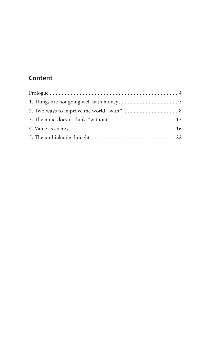# Content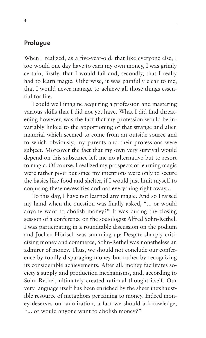#### **Prologue**

When I realized, as a five-year-old, that like everyone else, I too would one day have to earn my own money, I was grimly certain, firstly, that I would fail and, secondly, that I really had to learn magic. Otherwise, it was painfully clear to me, that I would never manage to achieve all those things essential for life.

I could well imagine acquiring a profession and mastering various skills that I did not yet have. What I did find threatening however, was the fact that my profession would be invariably linked to the apportioning of that strange and alien material which seemed to come from an outside source and to which obviously, my parents and their professions were subject. Moreover the fact that my own very survival would depend on this substance left me no alternative but to resort to magic. Of course, I realized my prospects of learning magic were rather poor but since my intentions were only to secure the basics like food and shelter, if I would just limit myself to conjuring these necessities and not everything right away...

To this day, I have not learned any magic. And so I raised my hand when the question was finally asked, "... or would anyone want to abolish money?" It was during the closing session of a conference on the sociologist Alfred Sohn-Rethel. I was participating in a roundtable discussion on the podium and Jochen Hörisch was summing up: Despite sharply criticizing money and commerce, Sohn-Rethel was nonetheless an admirer of money. Thus, we should not conclude our conference by totally disparaging money but rather by recognizing its considerable achievements. After all, money facilitates society's supply and production mechanisms, and, according to Sohn-Rethel, ultimately created rational thought itself. Our very language itself has been enriched by the sheer inexhaustible resource of metaphors pertaining to money. Indeed money deserves our admiration, a fact we should acknowledge, "... or would anyone want to abolish money?"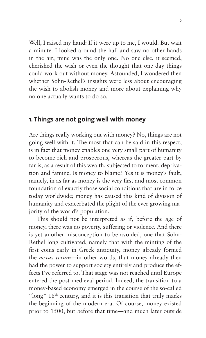Well, I raised my hand: If it were up to me, I would. But wait a minute. I looked around the hall and saw no other hands in the air; mine was the only one. No one else, it seemed, cherished the wish or even the thought that one day things could work out without money. Astounded, I wondered then whether Sohn-Rethel's insights were less about encouraging the wish to abolish money and more about explaining why no one actually wants to do so.

#### **1. Things are not going well with money**

Are things really working out with money? No, things are not going well with it. The most that can be said in this respect, is in fact that money enables one very small part of humanity to become rich and prosperous, whereas the greater part by far is, as a result of this wealth, subjected to torment, deprivation and famine. Is money to blame? Yes it is money's fault, namely, in as far as money is the very first and most common foundation of exactly those social conditions that are in force today worldwide; money has caused this kind of division of humanity and exacerbated the plight of the ever-growing majority of the world's population.

This should not be interpreted as if, before the age of money, there was no poverty, suffering or violence. And there is yet another misconception to be avoided, one that Sohn-Rethel long cultivated, namely that with the minting of the first coins early in Greek antiquity, money already formed the *nexus rerum*—in other words, that money already then had the power to support society entirely and produce the effects I've referred to. That stage was not reached until Europe entered the post-medieval period. Indeed, the transition to a money-based economy emerged in the course of the so-called "long"  $16<sup>th</sup>$  century, and it is this transition that truly marks the beginning of the modern era. Of course, money existed prior to 1500, but before that time—and much later outside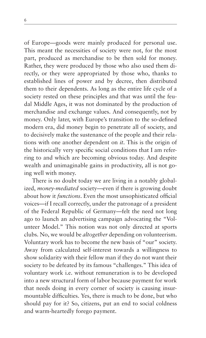of Europe—goods were mainly produced for personal use. This meant the necessities of society were not, for the most part, produced as merchandise to be then sold for money. Rather, they were produced by those who also used them directly, or they were appropriated by those who, thanks to established lines of power and by decree, then distributed them to their dependents. As long as the entire life cycle of a society rested on these principles and that was until the feudal Middle Ages, it was not dominated by the production of merchandise and exchange values. And consequently, not by money. Only later, with Europe's transition to the so-defined modern era, did money begin to penetrate all of society, and to decisively make the sustenance of the people and their relations with one another dependent on *it*. This is the origin of the historically very specific social conditions that I am referring to and which are becoming obvious today. And despite wealth and unimaginable gains in productivity, all is not going well with money.

There is no doubt today we are living in a notably globalized, *money-mediated* society—even if there is growing doubt about how it *functions*. Even the most unsophisticated official voices—if I recall correctly, under the patronage of a president of the Federal Republic of Germany—felt the need not long ago to launch an advertising campaign advocating the "Volunteer Model." This notion was not only directed at sports clubs. No, we would be *altogether* depending on volunteerism. Voluntary work has to become the new basis of "our" society. Away from calculated self-interest towards a willingness to show solidarity with their fellow man if they do not want their society to be defeated by its famous "challenges." This idea of voluntary work i.e. without remuneration is to be developed into a new structural form of labor because payment for work that needs doing in every corner of society is causing insurmountable difficulties. Yes, there is much to be done, but who should pay for it? So, citizens, put an end to social coldness and warm-heartedly forego payment.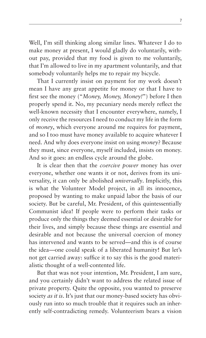Well, I'm still thinking along similar lines. Whatever I do to make money at present, I would gladly do voluntarily, without pay, provided that my food is given to me voluntarily, that I'm allowed to live in my apartment voluntarily, and that somebody voluntarily helps me to repair my bicycle.

That I currently insist on payment for my work doesn't mean I have any great appetite for money or that I have to first see the money ("*Money, Money, Money!*") before I then properly spend it. No, my pecuniary needs merely reflect the well-known necessity that I encounter everywhere, namely, I only receive the resources I need to conduct my life in the form of *money*, which everyone around me requires for payment, and so I too must have money available to acquire whatever I need. And why does everyone insist on using *money*? Because they must, since everyone, myself included, insists on money. And so it goes: an endless cycle around the globe.

It is clear then that the *coercive power* money has over everyone, whether one wants it or not, derives from its universality, it can only be abolished *universally*. Implicitly, this is what the Volunteer Model project, in all its innocence, proposed by wanting to make unpaid labor the basis of our society. But be careful, Mr. President, of this quintessentially Communist idea! If people were to perform their tasks or produce only the things they deemed essential or desirable for their lives, and simply because these things are essential and desirable and not because the universal coercion of money has intervened and wants to be served—and this is of course the idea—one could speak of a liberated humanity! But let's not get carried away: suffice it to say this is the good materialistic thought of a well-contented life.

But that was not your intention, Mr. President, I am sure, and you certainly didn't want to address the related issue of private property. Quite the opposite, you wanted to preserve society *as it is*. It's just that our money-based society has obviously run into so much trouble that it requires such an inherently self-contradicting remedy. Volunteerism bears a vision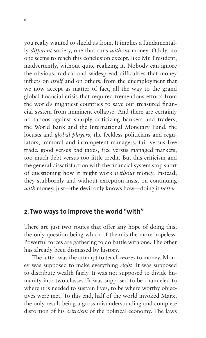you really wanted to shield us from. It implies a fundamentally *different* society, one that runs *without* money. Oddly, no one seems to reach this conclusion except, like Mr. President, inadvertently, without quite realizing it. Nobody can ignore the obvious, radical and widespread difficulties that money inflicts on *itself* and on others: from the unemployment that we now accept as matter of fact, all the way to the grand global financial crisis that required tremendous efforts from the world's mightiest countries to save our treasured financial system from imminent collapse. And there are certainly no taboos against sharply criticizing bankers and traders, the World Bank and the International Monetary Fund, the locusts and *global players*, the feckless politicians and regulators, immoral and incompetent managers, fair versus free trade, good versus bad taxes, free versus managed markets, too much debt versus too little credit. But this criticism and the general dissatisfaction with the financial system stop short of questioning how it might work *without* money. Instead, they stubbornly and without exception insist on continuing *with* money, just—the devil only knows how—doing it *better*.

#### **2. Two ways to improve the world "with"**

There are just two routes that offer any hope of doing this, the only question being which of them is the more hopeless. Powerful forces are gathering to do battle with one. The other has already been dismissed by history.

The latter was the attempt to teach *mores* to money. Money was supposed to make everything *right*. It was supposed to distribute wealth fairly. It was not supposed to divide humanity into two classes. It was supposed to be channeled to where it is needed to sustain lives, to be where worthy objectives were met. To this end, half of the world invoked Marx, the only result being a gross misunderstanding and complete distortion of his *criticism* of the political economy. The laws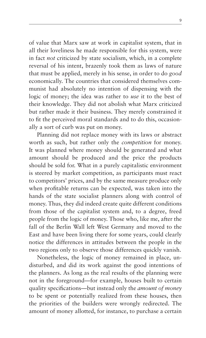of value that Marx saw at work in capitalist system, that in all their loveliness he made responsible for this system, were in fact *not* criticized by state socialism, which, in a complete reversal of his intent, brazenly took them as laws of nature that must be applied, merely in his sense, in order to do *good* economically. The countries that considered themselves communist had absolutely no intention of dispensing with the logic of money; the idea was rather to *use* it to the best of their knowledge. They did not abolish what Marx criticized but rather made it their business. They merely constrained it to fit the perceived moral standards and to do this, occasionally a sort of curb was put on money.

Planning did not replace money with its laws or abstract worth as such, but rather only the *competition* for money. It was planned where money should be generated and what amount should be produced and the price the products should be sold for. What in a purely capitalistic environment is steered by market competition, as participants must react to competitors' prices, and by the same measure produce only when profitable returns can be expected, was taken into the hands of the state socialist planners along with control of money. Thus, they did indeed create quite different conditions from those of the capitalist system and, to a degree, freed people from the logic of money. Those who, like me, after the fall of the Berlin Wall left West Germany and moved to the East and have been living there for some years, could clearly notice the differences in attitudes between the people in the two regions only to observe those differences quickly vanish.

Nonetheless, the logic of money remained in place, undisturbed, and did its work against the good intentions of the planners. As long as the real results of the planning were not in the foreground—for example, houses built to certain quality specifications—but instead only the *amount of money* to be spent or potentially realized from these houses, then the priorities of the builders were wrongly redirected. The amount of money allotted, for instance, to purchase a certain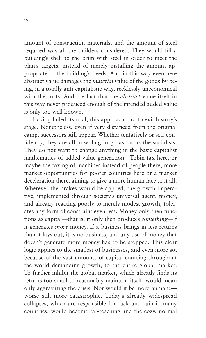amount of construction materials, and the amount of steel required was all the builders considered. They would fill a building's shell to the brim with steel in order to meet the plan's targets, instead of merely installing the amount appropriate to the building's needs. And in this way even here abstract value damages the *material* value of the goods by being, in a totally anti-capitalistic way, recklessly uneconomical with the costs. And the fact that the *abstract* value itself in this way never produced enough of the intended added value is only too well known.

Having failed its trial, this approach had to exit history's stage. Nonetheless, even if very distanced from the original camp, successors still appear. Whether tentatively or self-confidently, they are all unwilling to go as far as the socialists. They do not want to change anything in the basic capitalist mathematics of added-value generation—Tobin tax here, or maybe the taxing of machines instead of people there, more market opportunities for poorer countries here or a market deceleration there, aiming to give a more human face to it all. Wherever the brakes would be applied, the growth imperative, implemented through society's universal agent, money, and already reacting poorly to merely modest growth, tolerates any form of constraint even less. Money only then functions as capital—that is, it only then produces *something*—if it generates *more* money. If a business brings in less returns than it lays out, it is no business, and any use of money that doesn't generate more money has to be stopped. This clear logic applies to the smallest of businesses, and even more so, because of the vast amounts of capital coursing throughout the world demanding growth, to the entire global market. To further inhibit the global market, which already finds its returns too small to reasonably maintain itself, would mean only aggravating the crisis. Nor would it be more humane worse still more catastrophic. Today's already widespread collapses, which are responsible for rack and ruin in many countries, would become far-reaching and the cozy, normal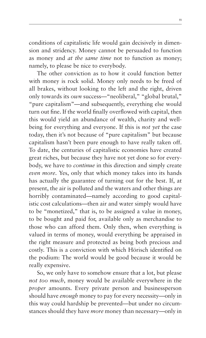conditions of capitalistic life would gain decisively in dimension and stridency. Money cannot be persuaded to function as money and *at the same time* not to function as money; namely, to please be nice to everybody.

The other conviction as to how it could function better with money is rock solid. Money only needs to be freed of all brakes, without looking to the left and the right, driven only towards its *own* success—"neoliberal," "global brutal," "pure capitalism"—and subsequently, everything else would turn out fine. If the world finally overflowed with capital, then this would yield an abundance of wealth, charity and wellbeing for everything and everyone. If this is *not yet* the case today, then it's not because of "pure capitalism" but because capitalism hasn't been pure enough to have really taken off. To date, the centuries of capitalistic economies have created great riches, but because they have not yet done so for everybody, we have to *continue* in this direction and simply create *even more*. Yes, only that which money takes into its hands has actually the guarantee of turning out for the best. If, at present, the air is polluted and the waters and other things are horribly contaminated—namely according to good capitalistic cost calculations—then air and water simply would have to be "monetized," that is, to be assigned a value in money, to be bought and paid for, available only as merchandise to those who can afford them. Only then, when everything is valued in terms of money, would everything be appraised in the right measure and protected as being both precious and costly. This is a conviction with which Hörisch identified on the podium: The world would be good because it would be really expensive.

So, we only have to somehow ensure that a lot, but please *not too much*, money would be available everywhere in the *proper* amounts. Every private person and businessperson should have *enough* money to pay for every necessity—only in this way could hardship be prevented—but under no circumstances should they have *more* money than necessary—only in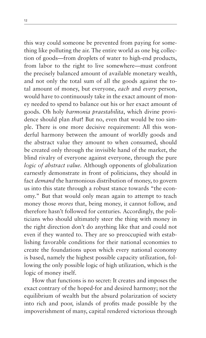this way could someone be prevented from paying for something like polluting the air. The entire world as one big collection of goods—from droplets of water to high-end products, from labor to the right to live somewhere—must confront the precisely balanced amount of available monetary wealth, and not only the total sum of all the goods against the total amount of money, but everyone, *each* and *every* person, would have to continuously take in the exact amount of money needed to spend to balance out his or her exact amount of goods. Oh holy *harmonia praestabilita*, which divine providence should plan *that*! But no, even that would be too simple. There is one more decisive requirement: All this wonderful harmony between the amount of worldly goods and the abstract value they amount to when consumed, should be created only through the invisible hand of the market, the blind rivalry of everyone against everyone, through the pure *logic of abstract value.* Although opponents of globalization earnestly demonstrate in front of politicians, they should in fact *demand* the harmonious distribution of money, to govern us into this state through a robust stance towards "the economy." But that would only mean again to attempt to teach money those *mores* that, being money, it cannot follow, and therefore hasn't followed for centuries. Accordingly, the politicians who should ultimately steer the thing with money in the right direction don't do anything like that and could not even if they wanted to. They are so preoccupied with establishing favorable conditions for their national economies to create the foundations upon which every national economy is based, namely the highest possible capacity utilization, following the only possible logic of high utilization, which is the logic of money itself.

How that functions is no secret: It creates and imposes the exact contrary of the hoped-for and desired harmony; not the equilibrium of wealth but the absurd polarization of society into rich and poor, islands of profits made possible by the impoverishment of many, capital rendered victorious through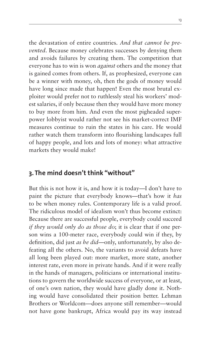the devastation of entire countries. *And that cannot be prevented*. Because money celebrates successes by denying them and avoids failures by creating them. The competition that everyone has to win is won *against* others and the money that is gained comes from others. If, as prophesized, everyone can be a winner with money, oh, then the gods of money would have long since made that happen! Even the most brutal exploiter would prefer not to ruthlessly steal his workers' modest salaries, if only because then they would have more money to buy more from him. And even the most pigheaded superpower lobbyist would rather not see his market-correct IMF measures continue to ruin the states in his care. He would rather watch them transform into flourishing landscapes full of happy people, and lots and lots of money: what attractive markets they would make!

## **3. The mind doesn't think "without"**

But this is not how it is, and how it is today—I don't have to paint the picture that everybody knows—that's how it *has* to be when money rules. Contemporary life is a valid proof. The ridiculous model of idealism won't thus become extinct: Because there are successful people, everybody could succeed *if they would only do as those do*; it is clear that if one person wins a 100-meter race, everybody could win if they, by definition, did just *as he did*—only, unfortunately, by also defeating all the others. No, the variants to avoid defeats have all long been played out: more market, more state, another interest rate, even more in private hands. And if it were really in the hands of managers, politicians or international institutions to govern the worldwide success of everyone, or at least, of one's own nation, they would have gladly done it. Nothing would have consolidated their position better. Lehman Brothers or Worldcom—does anyone still remember—would not have gone bankrupt, Africa would pay its way instead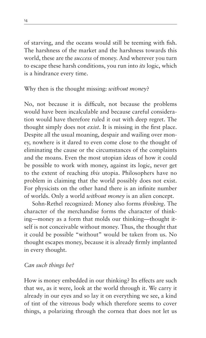of starving, and the oceans would still be teeming with fish. The harshness of the market and the harshness towards this world, these are the *success* of money. And wherever you turn to escape these harsh conditions, you run into *its* logic, which is a hindrance every time.

#### Why then is the thought missing: *without money*?

No, not because it is difficult, not because the problems would have been incalculable and because careful consideration would have therefore ruled it out with deep regret. The thought simply does not *exist*. It is missing in the first place. Despite all the usual moaning, despair and wailing over money, nowhere is it dared to even come close to the thought of eliminating the cause or the circumstances of the complaints and the moans. Even the most utopian ideas of how it could be possible to work with money, against its logic, never get to the extent of reaching *this* utopia. Philosophers have no problem in claiming that the world possibly does not exist. For physicists on the other hand there is an infinite number of worlds. Only a world *without money* is an alien concept.

Sohn-Rethel recognized: Money also forms *thinking*. The character of the merchandise forms the character of thinking—money as a form that molds our thinking—thought itself is not conceivable without money. Thus, the thought that it could be possible "without" would be taken from us. No thought escapes money, because it is already firmly implanted in every thought.

#### *Can such things be?*

How is money embedded in our thinking? Its effects are such that we, as it were, look at the world through it. We carry it already in our eyes and so lay it on everything we see, a kind of tint of the vitreous body which therefore seems to cover things, a polarizing through the cornea that does not let us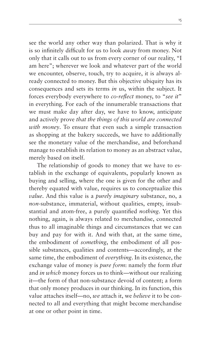see the world any other way than polarized. That is why it is so infinitely difficult for us to look *away* from money. Not only that it calls out to us from every corner of our reality, "I am here"; wherever we look and whatever part of the world we encounter, observe, touch, try to acquire, it is always already connected to money. But this objective ubiquity has its consequences and sets its terms *in* us, within the subject. It forces everybody everywhere to *co-reflect* money, to "*see it*" in everything. For each of the innumerable transactions that we must make day after day, we have to know, anticipate and actively prove *that the things of this world are connected with money*. To ensure that even such a simple transaction as shopping at the bakery succeeds, we have to additionally see the monetary value of the merchandise, and beforehand manage to establish its relation to money as an abstract value, merely based on itself.

The relationship of goods to money that we have to establish in the exchange of equivalents, popularly known as buying and selling, where the one is given for the other and thereby equated with value, requires us to conceptualize this *value*. And this value is a *purely imaginary* substance, no, a *non*-substance, immaterial, without qualities, empty, insubstantial and atom-free, a purely quantified *nothing*. Yet this nothing, again, is always related to merchandise, connected thus to all imaginable things and circumstances that we can buy and pay for with it. And with that, at the same time, the embodiment of *something*, the embodiment of all possible substances, qualities and contents—accordingly, at the same time, the embodiment of *everything*. In its existence, the exchange value of money is *pure form*: namely the form *that* and *in which* money forces us to think—without our realizing it—the form of that non-substance devoid of content; a form that only money produces in our thinking. In its function, this value attaches itself—no, *we* attach it, we *believe* it to be connected to all and everything that might become merchandise at one or other point in time.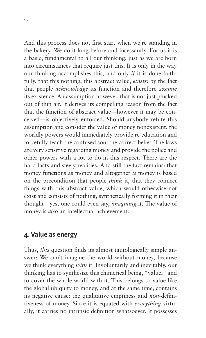And this process does not first start when we're standing in the bakery. We do it long before and incessantly. For us it is a basic, fundamental to all our thinking; just as we are born into circumstances that require just this. It is only in the way our thinking accomplishes this, and only *if* it is done faithfully, that this nothing, this abstract value, *exists*: by the fact that people *acknowledge* its function and therefore *assume* its existence. An assumption however, that is not just plucked out of thin air. It derives its compelling reason from the fact that the function of abstract value—however it may be conceived—is objectively enforced. Should anybody refute this assumption and consider the value of money nonexistent, the worldly powers would immediately provide re-education and forcefully teach the confused soul the correct belief. The laws are very sensitive regarding money and provide the police and other powers with a lot to do in this respect. There are the hard facts and steely realities. And still the fact remains: that money functions as money and altogether *is* money is based on the precondition that people *think* it, that they connect things with this abstract value, which would otherwise not exist and consists of nothing, synthetically forming it in their thought—yes, one could even say, *imagining* it. The value of money is *also* an intellectual achievement.

#### **4. Value as energy**

Thus, *this* question finds its almost tautologically simple answer: We can't imagine the world without money, because we think everything *with* it. Involuntarily and inevitably, our thinking has to synthesize this chimerical being, "value," and to cover the whole world with it. This belongs to value like the global ubiquity to money, and at the same time, contains its negative cause: the qualitative emptiness and *non*-definitiveness of money. Since it is equated with *everything* virtually, it carries no intrinsic definition whatsoever. It possesses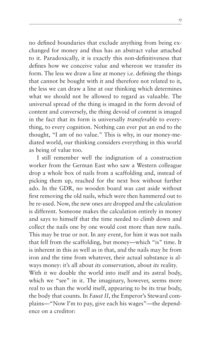no defined boundaries that exclude anything from being exchanged for money and thus has an abstract value attached to it. Paradoxically, it is exactly this non-definitiveness that defines how we conceive value and whereon we transfer its form. The less we draw a line at money i.e. defining the things that cannot be bought with it and therefore not related to it, the less we can draw a line at our thinking which determines what we should not be allowed to regard as valuable. The universal spread of the thing is imaged in the form devoid of content and conversely, the thing devoid of content is imaged in the fact that its form is universally *transferable* to everything, to every cognition. Nothing can ever put an end to the thought, "I am of no value." This is why, in our money-mediated world, our thinking considers everything in this world as being of value too.

I still remember well the indignation of a construction worker from the German East who saw a Western colleague drop a whole box of nails from a scaffolding and, instead of picking them up, reached for the next box without further ado. In the GDR, no wooden board was cast aside without first removing the old nails, which were then hammered out to be re-used. Now, the new ones are dropped and the calculation is different. Someone makes the calculation entirely in money and says to himself that the time needed to climb down and collect the nails one by one would cost more than new nails. This may be true or not. In any event, for him it was not nails that fell from the scaffolding, but money—which "is" time. It is inherent in this as well as in that, and the nails may be from iron and the time from whatever, their actual substance is always money: it's all about *its* conservation, about *its* reality. With it we double the world into itself and its astral body, which we "see" in it. The imaginary, however, seems more real to us than the world itself, appearing to be its true body,

the body that counts. In *Faust II*, the Emperor's Steward complains—"Now I'm to pay, give each his wages"—the dependence on a creditor: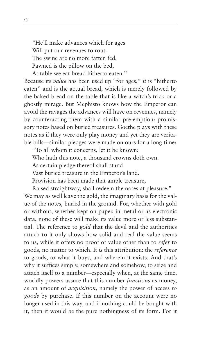"He'll make advances which for ages Will put our revenues to rout. The swine are no more fatten fed, Pawned is the pillow on the bed, At table we eat bread hitherto eaten."

Because its *value* has been used up "for ages," *it* is "hitherto eaten" and is the actual bread, which is merely followed by the baked bread on the table that is like a witch's trick or a ghostly mirage. But Mephisto knows how the Emperor can avoid the ravages the advances will have on revenues, namely by counteracting them with a similar pre-emption: promissory notes based on buried treasures. Goethe plays with these notes as if they were only play money and yet they are veritable bills—similar pledges were made on ours for a long time:

"To all whom it concerns, let it be known:

Who hath this note, a thousand crowns doth own.

As certain pledge thereof shall stand

Vast buried treasure in the Emperor's land.

Provision has been made that ample treasure,

Raised straightway, shall redeem the notes at pleasure."

We may as well leave the gold, the imaginary basis for the value of the notes, buried in the ground. For, whether with gold or without, whether kept on paper, in metal or as electronic data, none of these will make its value more or less substantial. The reference to *gold* that the devil and the authorities attach to it only shows how solid and real the value seems to us, while it offers no proof of value other than to *refer* to goods, no matter to which. It *is* this attribution: the *reference* to goods, to what it buys, and wherein it exists. And that's why it suffices simply, somewhere and somehow, to seize and attach itself to a number—especially when, at the same time, worldly powers assure that this number *functions* as money, as an amount of *acquisition*, namely the power of access *to goods* by purchase. If this number on the account were no longer used in this way, and if nothing could be bought with it, then it would be the pure nothingness of its form. For it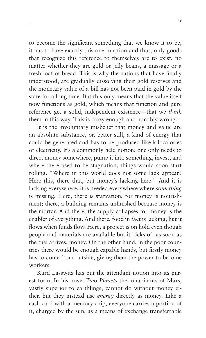to become the significant something that we know it to be, it has to have exactly this one function and thus, only goods that recognize this reference to themselves are to exist, no matter whether they are gold or jelly beans, a massage or a fresh loaf of bread. This is why the nations that have finally understood, are gradually dissolving their gold reserves and the monetary value of a bill has not been paid in gold by the state for a long time. But this only means that the value itself now functions as gold, which means that function and pure reference get a solid, independent existence—that we *think* them in this way. This is crazy enough and horribly wrong.

It is the involuntary misbelief that money and value are an absolute substance, or, better still, a kind of energy that could be generated and has to be produced like kilocalories or electricity. It's a commonly held notion: one only needs to direct money somewhere, pump it into something, invest, and where there used to be stagnation, things would soon start rolling. "Where in this world does not some lack appear? Here this, there that, but money's lacking here." And it is lacking everywhere, it is needed everywhere where *something* is missing. Here, there is starvation, for money is nourishment; there, a building remains unfinished because money is the mortar. And there, the supply collapses for money is the enabler of everything. And there, food in fact is lacking, but it flows when funds flow. Here, a project is on hold even though people and materials are available but it kicks off as soon as the fuel arrives: money. On the other hand, in the poor countries there would be enough capable hands, but firstly money has to come from outside, giving them the power to become workers.

Kurd Lasswitz has put the attendant notion into its purest form. In his novel *Two Planets* the inhabitants of Mars, vastly superior to earthlings, cannot do without money either, but they instead use *energy* directly as money. Like a cash card with a memory chip, everyone carries a portion of it, charged by the sun, as a means of exchange transferrable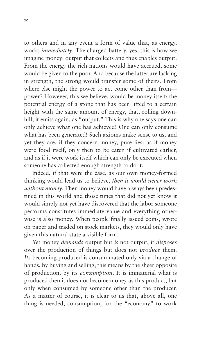to others and in any event a form of value that, as energy, works *immediately*. The charged battery, yes, this is how we imagine money: output that collects and thus enables output. From the energy the rich nations would have accrued, some would be given to the poor. And because the latter are lacking in strength, the strong would transfer some of theirs. From where else might the power to act come other than frompower? However, this we believe, would be money itself: the potential energy of a stone that has been lifted to a certain height with the same amount of energy, that, rolling downhill, it emits again, as "output." This is why one says one can only achieve what one has achieved! One can only consume what has been generated! Such axioms make sense to us, and yet they are, if they concern money, pure lies: as if money were food itself, only then to be eaten if cultivated earlier, and as if it were work itself which can only be executed when someone has collected enough strength to do it.

Indeed, if that were the case, as our own money-formed thinking would lead us to believe, *then it would never work without money*. Then money would have always been predestined in this world and those times that did not yet know it would simply not yet have discovered that the labor someone performs constitutes immediate value and everything otherwise is also money. When people finally issued coins, wrote on paper and traded on stock markets, they would only have given this natural state a visible form.

Yet money *demands* output but *is* not output; it *disposes*  over the production of things but does not *produce* them. *Its* becoming produced is consummated only via a change of hands, by buying and selling; this means by the sheer opposite of production, by its *consumption*. It is immaterial what is produced then it does not become money as this product, but only when consumed by someone other than the producer. As a matter of course, it is clear to us that, above all, one thing is needed, consumption, for the "economy" to work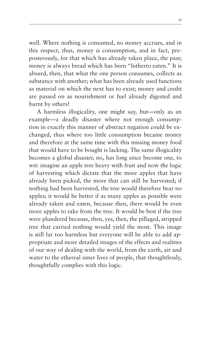well. Where nothing is consumed, no money accrues, and in this respect, thus, money *is* consumption, and in fact, preposterously, for that which has already taken place, the past; money is always bread which has been "hitherto eaten." It is absurd, then, that what the one person consumes, collects as substance with another; what has been already used functions as material on which the next has to exist; money and credit are passed on as nourishment or fuel already digested and burnt by others!

A harmless illogicality, one might say, but—only as an example—a deadly disaster where not enough consumption in exactly this manner of abstract negation could be exchanged, thus where too little consumption became money and therefore at the same time with this missing money food that would have to be bought is lacking. The same illogicality becomes a global disaster, no, has long since become one, to wit: imagine an apple tree heavy with fruit and now the logic of harvesting which dictate that the more apples that have already been picked, the more that can still be harvested; if nothing had been harvested, the tree would therefore bear no apples; it would be better if as many apples as possible were already taken and eaten, because then, there would be even more apples to take from the tree. It would be best if the tree were plundered because, then, yes, then, the pillaged, stripped tree that carried nothing would yield the most. This image is still far too harmless but everyone will be able to add appropriate and more detailed images of the effects and realities of our way of dealing with the world, from the earth, air and water to the ethereal inner lives of people, that thoughtlessly, thoughtfully complies with this logic.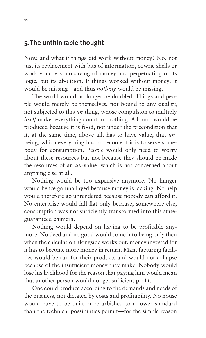#### **5. The unthinkable thought**

Now, and what if things did work without money? No, not just its replacement with bits of information, cowrie shells or work vouchers, no saving of money and perpetuating of its logic, but its abolition. If things worked without money: it would be missing—and thus *nothing* would be missing.

The world would no longer be doubled. Things and people would merely be themselves, not bound to any duality, not subjected to this *un*-thing, whose compulsion to multiply *itself* makes everything count for nothing. All food would be produced because it is food, not under the precondition that it, at the same time, above all, has to have value, that *un*being, which everything has to become if it is to serve somebody for consumption. People would only need to worry about these resources but not because they should be made the resources of an *un*-value, which is not concerned about anything else at all.

Nothing would be too expensive anymore. No hunger would hence go unallayed because money is lacking. No help would therefore go unrendered because nobody can afford it. No enterprise would fall flat only because, somewhere else, consumption was not sufficiently transformed into this stateguaranteed chimera.

Nothing would depend on having to be profitable anymore. No deed and no good would come into being only then when the calculation alongside works out: money invested for it has to become more money in return. Manufacturing facilities would be run for their products and would not collapse because of the insufficient money they make. Nobody would lose his livelihood for the reason that paying him would mean that another person would not get sufficient profit.

One could produce according to the demands and needs of the business, not dictated by costs and profitability. No house would have to be built or refurbished to a lower standard than the technical possibilities permit—for the simple reason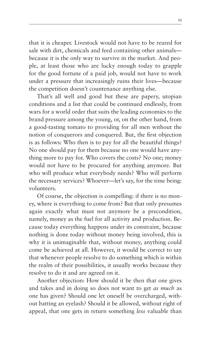that it is cheaper. Livestock would not have to be reared for sale with dirt, chemicals and feed containing other animals because it is the only way to survive in the market. And people, at least those who are lucky enough today to grapple for the good fortune of a paid job, would not have to work under a pressure that increasingly ruins their lives—because the competition doesn't countenance anything else.

That's all well and good but these are papery, utopian conditions and a list that could be continued endlessly, from wars for a world order that suits the leading economies to the brand pressure among the young, or, on the other hand, from a good-tasting tomato to providing for all men without the notion of conquerors and conquered. But, the first objection is as follows: Who then is to pay for all the beautiful things? No one should pay for them because no one would have anything more to pay for. Who covers the costs? No one; money would not have to be procured for anything anymore. But who will produce what everybody needs? Who will perform the necessary services? Whoever—let's say, for the time being: volunteers.

Of course, the objection is compelling: if there is no money, where is everything to come from? But that only presumes again exactly what must not anymore be a precondition, namely, money as the fuel for all activity and production. Because today everything happens under its constraint, because nothing is done today without money being involved, this is why it is unimaginable that, without money, anything could come be achieved at all. However, it would be correct to say that whenever people resolve to do something which is within the realm of their possibilities, it usually works because they resolve to do it and are agreed on it.

Another objection: How should it be then that one gives and takes and in doing so does not want to get *as much* as one has given? Should one let oneself be overcharged, without batting an eyelash? Should it be allowed, without right of appeal, that one gets in return something *less* valuable than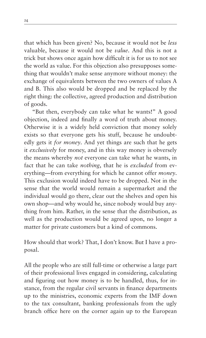that which has been given? No, because it would not be *less*  valuable, because it would not be *value*. And this is not a trick but shows once again how difficult it is for us to not see the world as value. For this objection also presupposes something that wouldn't make sense anymore without money: the exchange of equivalents between the two owners of values A and B. This also would be dropped and be replaced by the right thing: the collective, agreed production and distribution of goods.

"But then, everybody can take what he wants!" A good objection, indeed and finally a word of truth about money. Otherwise it is a widely held conviction that money solely exists so that everyone gets his stuff, because he undoubtedly gets it *for money*. And yet things are such that he gets it *exclusively* for money, and in this way money is obversely the means whereby *not* everyone can take what he wants, in fact that he can take *nothing*, that he is *excluded* from everything—from everything for which he cannot offer *money*. This exclusion would indeed have to be dropped. Not in the sense that the world would remain a supermarket and the individual would go there, clear out the shelves and open his own shop—and why would he, since nobody would buy anything from him. Rather, in the sense that the distribution, as well as the production would be agreed upon, no longer a matter for private customers but a kind of commons.

How should that work? That, I don't know. But I have a proposal.

All the people who are still full-time or otherwise a large part of their professional lives engaged in considering, calculating and figuring out how money is to be handled, thus, for instance, from the regular civil servants in finance departments up to the ministries, economic experts from the IMF down to the tax consultant, banking professionals from the ugly branch office here on the corner again up to the European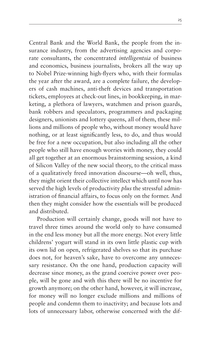Central Bank and the World Bank, the people from the insurance industry, from the advertising agencies and corporate consultants, the concentrated *intelligentsia* of business and economics, business journalists, brokers all the way up to Nobel Prize-winning high-flyers who, with their formulas the year after the award, are a complete failure, the developers of cash machines, anti-theft devices and transportation tickets, employees at check-out lines, in bookkeeping, in marketing, a plethora of lawyers, watchmen and prison guards, bank robbers and speculators, programmers and packaging designers, unionists and lottery queens, all of them, these millions and millions of people who, without money would have nothing, or at least significantly less, to do, and thus would be free for a new occupation, but also including all the other people who still have enough worries with money, they could all get together at an enormous brainstorming session, a kind of Silicon Valley of the new social theory, to the critical mass of a qualitatively freed innovation discourse—oh well, thus, they might orient their collective intellect which until now has served the high levels of productivity *plus* the stressful administration of financial affairs, to focus only on the former. And then they might consider how the essentials will be produced and distributed.

Production will certainly change, goods will not have to travel three times around the world only to have consumed in the end less money but all the more energy. Not every little childrens' yogurt will stand in its own little plastic cup with its own lid on open, refrigerated shelves so that its purchase does not, for heaven's sake, have to overcome any unnecessary resistance. On the one hand, production capacity will decrease since money, as the grand coercive power over people, will be gone and with this there will be no incentive for growth anymore; on the other hand, however, it will increase, for money will no longer exclude millions and millions of people and condemn them to inactivity; and because lots and lots of unnecessary labor, otherwise concerned with the dif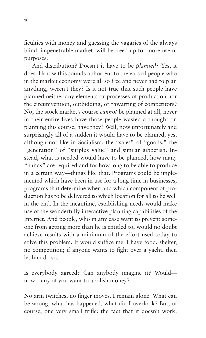ficulties with money and guessing the vagaries of the always blind, impenetrable market, will be freed up for more useful purposes.

And distribution? Doesn't it have to be *planned*? Yes, it does. I know this sounds abhorrent to the ears of people who in the market economy were all so free and never had to plan anything, weren't they? Is it not true that such people have planned neither any elements or processes of production nor the circumvention, outbidding, or thwarting of competitors? No, the stock market's course *cannot* be planned at all, never in their entire lives have those people wasted a thought on planning this course, have they? Well, now unfortunately and surprisingly all of a sudden it would have to be planned, yes, although not like in Socialism, the "sales" of "goods," the "generation" of "surplus value" and similar gibberish. Instead, what is needed would have to be planned, how many "hands" are required and for how long to be able to produce in a certain way—things like that. Programs could be implemented which have been in use for a long time in businesses, programs that determine when and which component of production has to be delivered to which location for all to be well in the end. In the meantime, establishing needs would make use of the wonderfully interactive planning capabilities of the Internet. And people, who in any case want to prevent someone from getting more than he is entitled to, would no doubt achieve results with a minimum of the effort used today to solve this problem. It would suffice me: I have food, shelter, no competition; if anyone wants to fight over a yacht, then let him do so.

Is everybody agreed? Can anybody imagine it? Would now—any of you want to abolish money?

No arm twitches, no finger moves. I remain alone. What can be wrong, what has happened, what did I overlook? But, of course, one very small trifle: the fact that it doesn't work.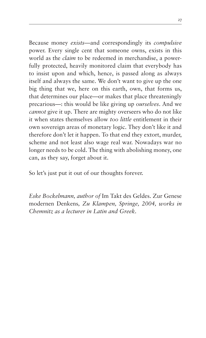Because money *exists*—and correspondingly its *compulsive* power. Every single cent that someone owns, exists in this world as the *claim* to be redeemed in merchandise, a powerfully protected, heavily monitored claim that everybody has to insist upon and which, hence, is passed along as always itself and always the same. We don't want to give up the one big thing that we, here on this earth, own, that forms us, that determines our place—or makes that place threateningly precarious—: this would be like giving up *ourselves*. And we *cannot* give it up. There are mighty overseers who do not like it when states themselves allow *too little* entitlement in their own sovereign areas of monetary logic. They don't like it and therefore don't let it happen. To that end they extort, murder, scheme and not least also wage real war. Nowadays war no longer needs to be cold. The thing with abolishing money, one can, as they say, forget about it.

So let's just put it out of our thoughts forever.

*Eske Bockelmann, author of* Im Takt des Geldes. Zur Genese modernen Denkens*, Zu Klampen, Springe, 2004, works in Chemnitz as a lecturer in Latin and Greek.*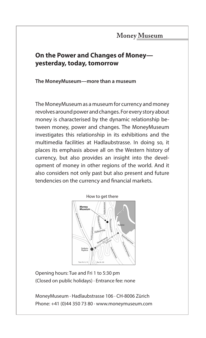#### Money Museum

## **On the Power and Changes of Money yesterday, today, tomorrow**

#### **The MoneyMuseum—more than a museum**

The MoneyMuseum as a museum for currency and money revolves around power and changes. For every story about money is characterised by the dynamic relationship between money, power and changes. The MoneyMuseum investigates this relationship in its exhibitions and the multimedia facilities at Hadlaubstrasse. In doing so, it places its emphasis above all on the Western history of currency, but also provides an insight into the development of money in other regions of the world. And it also considers not only past but also present and future tendencies on the currency and financial markets.



Opening hours: Tue and Fri 1 to 5:30 pm (Closed on public holidays) · Entrance fee: none

MoneyMuseum · Hadlaubstrasse 106 · CH-8006 Zürich Phone: +41 (0)44 350 73 80 · www.moneymuseum.com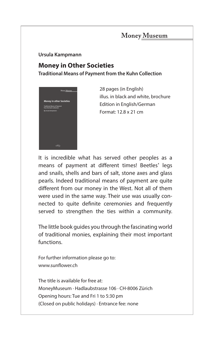## Money Museum

#### **Ursula Kampmann**

# **Money in Other Societies**

**Traditional Means of Payment from the Kuhn Collection**



**28 pages (in English)** illus. in black and white, brochure Edition in English/German Format: 12.8 x 21 cm

It is incredible what has served other peoples as a means of payment at different times! Beetles' legs and snails, shells and bars of salt, stone axes and glass pearls. Indeed traditional means of payment are quite different from our money in the West. Not all of them were used in the same way. Their use was usually connected to quite definite ceremonies and frequently served to strengthen the ties within a community.

The little book guides you through the fascinating world of traditional monies, explaining their most important functions.

For further information please go to: www.sunflower.ch

The title is available for free at: MoneyMuseum · Hadlaubstrasse 106 · CH-8006 Zürich Opening hours: Tue and Fri 1 to 5:30 pm (Closed on public holidays) · Entrance fee: none